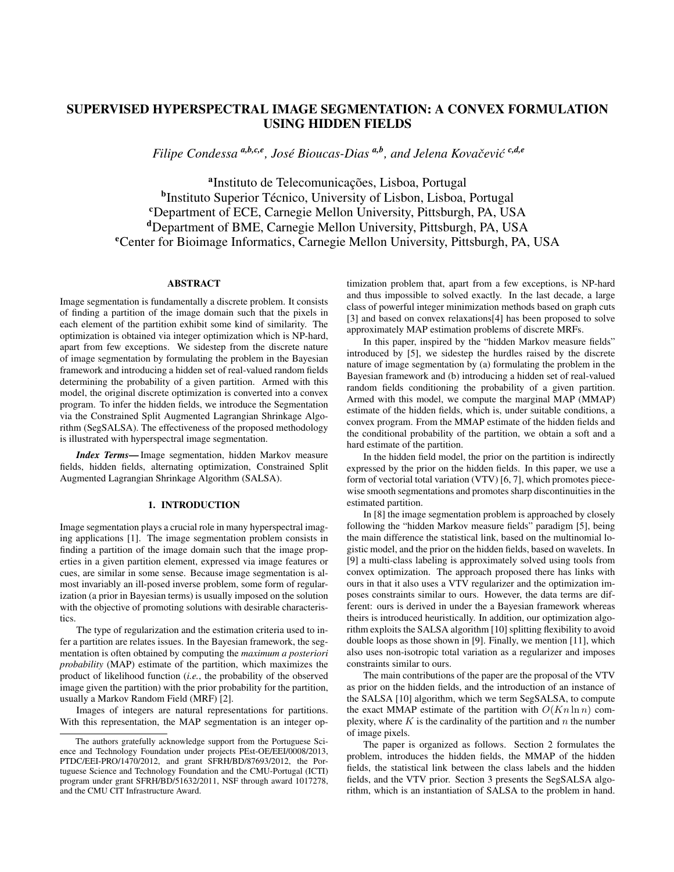# SUPERVISED HYPERSPECTRAL IMAGE SEGMENTATION: A CONVEX FORMULATION USING HIDDEN FIELDS

*Filipe Condessa a,b,c,e, Jose Bioucas-Dias ´ a,b, and Jelena Kovacevi ˇ c´ c,d,e*

<sup>a</sup>Instituto de Telecomunicações, Lisboa, Portugal <sup>b</sup>Instituto Superior Técnico, University of Lisbon, Lisboa, Portugal <sup>c</sup>Department of ECE, Carnegie Mellon University, Pittsburgh, PA, USA <sup>d</sup>Department of BME, Carnegie Mellon University, Pittsburgh, PA, USA <sup>e</sup>Center for Bioimage Informatics, Carnegie Mellon University, Pittsburgh, PA, USA

# ABSTRACT

Image segmentation is fundamentally a discrete problem. It consists of finding a partition of the image domain such that the pixels in each element of the partition exhibit some kind of similarity. The optimization is obtained via integer optimization which is NP-hard, apart from few exceptions. We sidestep from the discrete nature of image segmentation by formulating the problem in the Bayesian framework and introducing a hidden set of real-valued random fields determining the probability of a given partition. Armed with this model, the original discrete optimization is converted into a convex program. To infer the hidden fields, we introduce the Segmentation via the Constrained Split Augmented Lagrangian Shrinkage Algorithm (SegSALSA). The effectiveness of the proposed methodology is illustrated with hyperspectral image segmentation.

*Index Terms*— Image segmentation, hidden Markov measure fields, hidden fields, alternating optimization, Constrained Split Augmented Lagrangian Shrinkage Algorithm (SALSA).

## 1. INTRODUCTION

Image segmentation plays a crucial role in many hyperspectral imaging applications [1]. The image segmentation problem consists in finding a partition of the image domain such that the image properties in a given partition element, expressed via image features or cues, are similar in some sense. Because image segmentation is almost invariably an ill-posed inverse problem, some form of regularization (a prior in Bayesian terms) is usually imposed on the solution with the objective of promoting solutions with desirable characteristics.

The type of regularization and the estimation criteria used to infer a partition are relates issues. In the Bayesian framework, the segmentation is often obtained by computing the *maximum a posteriori probability* (MAP) estimate of the partition, which maximizes the product of likelihood function (*i.e.*, the probability of the observed image given the partition) with the prior probability for the partition, usually a Markov Random Field (MRF) [2].

Images of integers are natural representations for partitions. With this representation, the MAP segmentation is an integer optimization problem that, apart from a few exceptions, is NP-hard and thus impossible to solved exactly. In the last decade, a large class of powerful integer minimization methods based on graph cuts [3] and based on convex relaxations[4] has been proposed to solve approximately MAP estimation problems of discrete MRFs.

In this paper, inspired by the "hidden Markov measure fields" introduced by [5], we sidestep the hurdles raised by the discrete nature of image segmentation by (a) formulating the problem in the Bayesian framework and (b) introducing a hidden set of real-valued random fields conditioning the probability of a given partition. Armed with this model, we compute the marginal MAP (MMAP) estimate of the hidden fields, which is, under suitable conditions, a convex program. From the MMAP estimate of the hidden fields and the conditional probability of the partition, we obtain a soft and a hard estimate of the partition.

In the hidden field model, the prior on the partition is indirectly expressed by the prior on the hidden fields. In this paper, we use a form of vectorial total variation (VTV) [6, 7], which promotes piecewise smooth segmentations and promotes sharp discontinuities in the estimated partition.

In [8] the image segmentation problem is approached by closely following the "hidden Markov measure fields" paradigm [5], being the main difference the statistical link, based on the multinomial logistic model, and the prior on the hidden fields, based on wavelets. In [9] a multi-class labeling is approximately solved using tools from convex optimization. The approach proposed there has links with ours in that it also uses a VTV regularizer and the optimization imposes constraints similar to ours. However, the data terms are different: ours is derived in under the a Bayesian framework whereas theirs is introduced heuristically. In addition, our optimization algorithm exploits the SALSA algorithm [10] splitting flexibility to avoid double loops as those shown in [9]. Finally, we mention [11], which also uses non-isotropic total variation as a regularizer and imposes constraints similar to ours.

The main contributions of the paper are the proposal of the VTV as prior on the hidden fields, and the introduction of an instance of the SALSA [10] algorithm, which we term SegSALSA, to compute the exact MMAP estimate of the partition with  $O(Kn \ln n)$  complexity, where  $K$  is the cardinality of the partition and  $n$  the number of image pixels.

The paper is organized as follows. Section 2 formulates the problem, introduces the hidden fields, the MMAP of the hidden fields, the statistical link between the class labels and the hidden fields, and the VTV prior. Section 3 presents the SegSALSA algorithm, which is an instantiation of SALSA to the problem in hand.

The authors gratefully acknowledge support from the Portuguese Science and Technology Foundation under projects PEst-OE/EEI/0008/2013, PTDC/EEI-PRO/1470/2012, and grant SFRH/BD/87693/2012, the Portuguese Science and Technology Foundation and the CMU-Portugal (ICTI) program under grant SFRH/BD/51632/2011, NSF through award 1017278, and the CMU CIT Infrastructure Award.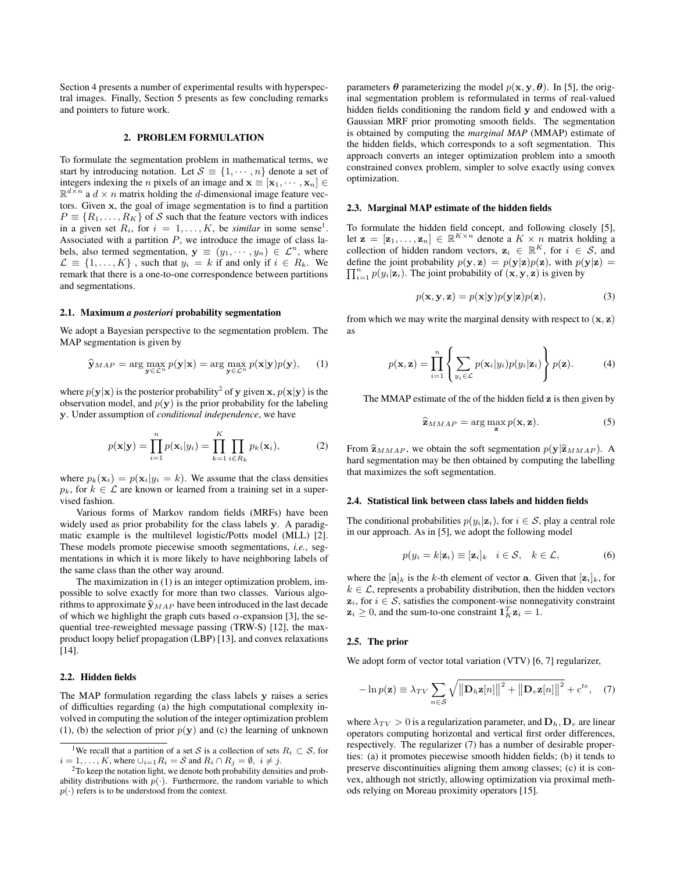Section 4 presents a number of experimental results with hyperspectral images. Finally, Section 5 presents as few concluding remarks and pointers to future work.

# 2. PROBLEM FORMULATION

To formulate the segmentation problem in mathematical terms, we start by introducing notation. Let  $S = \{1, \dots, n\}$  denote a set of integers indexing the *n* pixels of an image and  $\mathbf{x} \equiv [\mathbf{x}_1, \cdots, \mathbf{x}_n] \in$  $\mathbb{R}^{d \times n}$  a  $d \times n$  matrix holding the *d*-dimensional image feature vectors. Given x, the goal of image segmentation is to find a partition  $P \equiv \{R_1, \ldots, R_K\}$  of S such that the feature vectors with indices in a given set  $R_i$ , for  $i = 1, ..., K$ , be *similar* in some sense<sup>1</sup>. Associated with a partition  $P$ , we introduce the image of class labels, also termed segmentation,  $y \equiv (y_1, \dots, y_n) \in \mathcal{L}^n$ , where  $\mathcal{L} \equiv \{1, \ldots, K\}$ , such that  $y_i = k$  if and only if  $i \in R_k$ . We remark that there is a one-to-one correspondence between partitions and segmentations.

# 2.1. Maximum *a posteriori* probability segmentation

We adopt a Bayesian perspective to the segmentation problem. The MAP segmentation is given by

$$
\widehat{\mathbf{y}}_{MAP} = \arg\max_{\mathbf{y} \in \mathcal{L}^n} p(\mathbf{y}|\mathbf{x}) = \arg\max_{\mathbf{y} \in \mathcal{L}^n} p(\mathbf{x}|\mathbf{y})p(\mathbf{y}), \qquad (1)
$$

where  $p(y|x)$  is the posterior probability<sup>2</sup> of y given x,  $p(x|y)$  is the observation model, and  $p(y)$  is the prior probability for the labeling y. Under assumption of *conditional independence*, we have

$$
p(\mathbf{x}|\mathbf{y}) = \prod_{i=1}^{n} p(\mathbf{x}_i|y_i) = \prod_{k=1}^{K} \prod_{i \in R_k} p_k(\mathbf{x}_i),
$$
 (2)

where  $p_k(\mathbf{x}_i) = p(\mathbf{x}_i | y_i = k)$ . We assume that the class densities  $p_k$ , for  $k \in \mathcal{L}$  are known or learned from a training set in a supervised fashion.

Various forms of Markov random fields (MRFs) have been widely used as prior probability for the class labels y. A paradigmatic example is the multilevel logistic/Potts model (MLL) [2]. These models promote piecewise smooth segmentations, *i.e.*, segmentations in which it is more likely to have neighboring labels of the same class than the other way around.

The maximization in (1) is an integer optimization problem, impossible to solve exactly for more than two classes. Various algorithms to approximate  $\hat{y}_{MAP}$  have been introduced in the last decade of which we highlight the graph cuts based  $\alpha$ -expansion [3], the sequential tree-reweighted message passing (TRW-S) [12], the maxproduct loopy belief propagation (LBP) [13], and convex relaxations [14].

# 2.2. Hidden fields

The MAP formulation regarding the class labels y raises a series of difficulties regarding (a) the high computational complexity involved in computing the solution of the integer optimization problem (1), (b) the selection of prior  $p(y)$  and (c) the learning of unknown parameters  $\theta$  parameterizing the model  $p(\mathbf{x}, \mathbf{y}, \theta)$ . In [5], the original segmentation problem is reformulated in terms of real-valued hidden fields conditioning the random field y and endowed with a Gaussian MRF prior promoting smooth fields. The segmentation is obtained by computing the *marginal MAP* (MMAP) estimate of the hidden fields, which corresponds to a soft segmentation. This approach converts an integer optimization problem into a smooth constrained convex problem, simpler to solve exactly using convex optimization.

#### 2.3. Marginal MAP estimate of the hidden fields

To formulate the hidden field concept, and following closely [5], let  $\mathbf{z} = [\mathbf{z}_1, \dots, \mathbf{z}_n] \in \mathbb{R}^{K \times n}$  denote a  $K \times n$  matrix holding a collection of hidden random vectors,  $z_i \in \mathbb{R}^K$ , for  $i \in S$ , and define the joint probability  $p(\mathbf{y}, \mathbf{z}) = p(\mathbf{y}|\mathbf{z})p(\mathbf{z})$ , with  $p(\mathbf{y}|\mathbf{z}) =$  $\prod_{i=1}^{n} p(y_i|\mathbf{z}_i)$ . The joint probability of  $(\mathbf{x}, \mathbf{y}, \mathbf{z})$  is given by

$$
p(\mathbf{x}, \mathbf{y}, \mathbf{z}) = p(\mathbf{x}|\mathbf{y})p(\mathbf{y}|\mathbf{z})p(\mathbf{z}),
$$
\n(3)

from which we may write the marginal density with respect to  $(x, z)$ as

$$
p(\mathbf{x}, \mathbf{z}) = \prod_{i=1}^{n} \left\{ \sum_{y_i \in \mathcal{L}} p(\mathbf{x}_i | y_i) p(y_i | \mathbf{z}_i) \right\} p(\mathbf{z}). \tag{4}
$$

The MMAP estimate of the of the hidden field z is then given by

$$
\widehat{\mathbf{z}}_{MMAP} = \arg\max_{\mathbf{z}} p(\mathbf{x}, \mathbf{z}).
$$
 (5)

From  $\widehat{\mathbf{z}}_{MMAP}$ , we obtain the soft segmentation  $p(\mathbf{y}|\widehat{\mathbf{z}}_{MMAP})$ . A hard segmentation may be then obtained by computing the labelling that maximizes the soft segmentation.

# 2.4. Statistical link between class labels and hidden fields

The conditional probabilities  $p(y_i|\mathbf{z}_i)$ , for  $i \in \mathcal{S}$ , play a central role in our approach. As in [5], we adopt the following model

$$
p(y_i = k | \mathbf{z}_i) \equiv [\mathbf{z}_i]_k \quad i \in \mathcal{S}, \quad k \in \mathcal{L}, \tag{6}
$$

where the  $[\mathbf{a}]_k$  is the k-th element of vector **a**. Given that  $[\mathbf{z}_i]_k$ , for  $k \in \mathcal{L}$ , represents a probability distribution, then the hidden vectors  $z_i$ , for  $i \in S$ , satisfies the component-wise nonnegativity constraint  $z_i \geq 0$ , and the sum-to-one constraint  $\mathbf{1}_K^T \mathbf{z}_i = 1$ .

## 2.5. The prior

We adopt form of vector total variation (VTV) [6, 7] regularizer,

$$
-\ln p(\mathbf{z}) \equiv \lambda_{TV} \sum_{n \in S} \sqrt{\left\| \mathbf{D}_h \mathbf{z}[n] \right\|^2 + \left\| \mathbf{D}_v \mathbf{z}[n] \right\|^2} + c^{te}, \quad (7)
$$

where  $\lambda_{TV} > 0$  is a regularization parameter, and  $\mathbf{D}_h, \mathbf{D}_v$  are linear operators computing horizontal and vertical first order differences, respectively. The regularizer (7) has a number of desirable properties: (a) it promotes piecewise smooth hidden fields; (b) it tends to preserve discontinuities aligning them among classes; (c) it is convex, although not strictly, allowing optimization via proximal methods relying on Moreau proximity operators [15].

<sup>&</sup>lt;sup>1</sup>We recall that a partition of a set S is a collection of sets  $R_i \subset S$ , for  $i = 1, \ldots, K$ , where  $\cup_{i=1} R_i = S$  and  $R_i \cap R_j = \emptyset$ ,  $i \neq j$ .

<sup>2</sup>To keep the notation light, we denote both probability densities and probability distributions with  $p(\cdot)$ . Furthermore, the random variable to which  $p(\cdot)$  refers is to be understood from the context.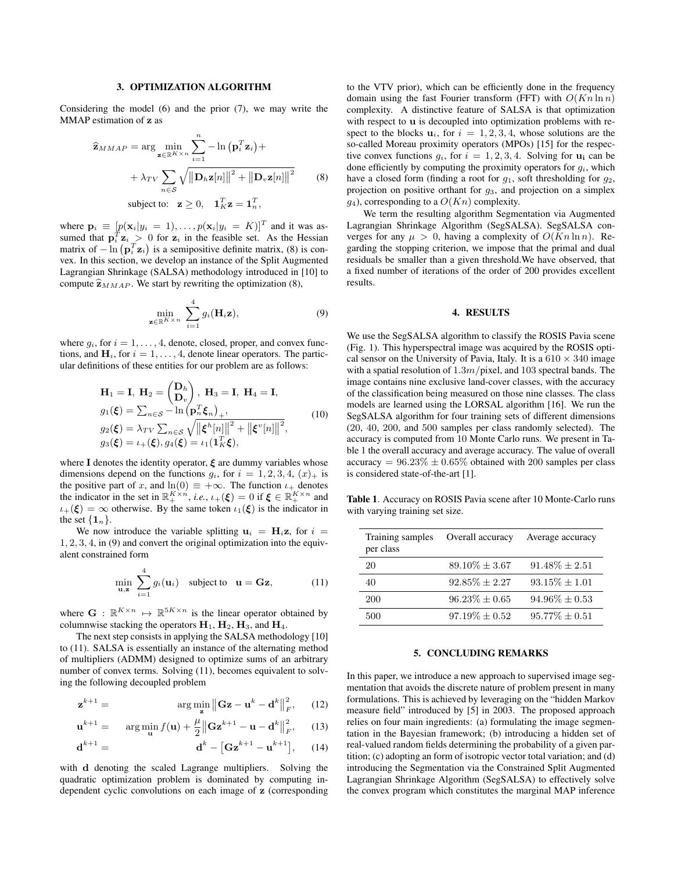## 3. OPTIMIZATION ALGORITHM

Considering the model (6) and the prior (7), we may write the MMAP estimation of z as

$$
\widehat{\mathbf{z}}_{MMAP} = \arg \min_{\mathbf{z} \in \mathbb{R}^{K \times n}} \sum_{i=1}^{n} -\ln (\mathbf{p}_{i}^{T} \mathbf{z}_{i}) + \n+ \lambda_{TV} \sum_{n \in S} \sqrt{\|\mathbf{D}_{h}\mathbf{z}[n]\|^{2} + \|\mathbf{D}_{v}\mathbf{z}[n]\|^{2}} \qquad (8)
$$
\nsubject to:  $\mathbf{z} \geq 0$ ,  $\mathbf{1}_{K}^{T} \mathbf{z} = \mathbf{1}_{n}^{T}$ ,

where  $\mathbf{p}_i \equiv [p(\mathbf{x}_i|y_i = 1), \dots, p(\mathbf{x}_i|y_i = K)]^T$  and it was assumed that  $\mathbf{p}_i^T \mathbf{z}_i > 0$  for  $\mathbf{z}_i$  in the feasible set. As the Hessian matrix of  $-\ln(\mathbf{p}_i^T \mathbf{z}_i)$  is a semipositive definite matrix, (8) is convex. In this section, we develop an instance of the Split Augmented Lagrangian Shrinkage (SALSA) methodology introduced in [10] to compute  $\hat{\mathbf{z}}_{MMAP}$ . We start by rewriting the optimization (8),

$$
\min_{\mathbf{z}\in\mathbb{R}^{K\times n}}\ \sum_{i=1}^{4}g_i(\mathbf{H}_i\mathbf{z}),\tag{9}
$$

where  $g_i$ , for  $i = 1, \ldots, 4$ , denote, closed, proper, and convex functions, and  $H_i$ , for  $i = 1, \ldots, 4$ , denote linear operators. The particular definitions of these entities for our problem are as follows:

$$
\mathbf{H}_1 = \mathbf{I}, \ \mathbf{H}_2 = \begin{pmatrix} \mathbf{D}_h \\ \mathbf{D}_v \end{pmatrix}, \ \mathbf{H}_3 = \mathbf{I}, \ \mathbf{H}_4 = \mathbf{I},
$$
  
\n
$$
g_1(\boldsymbol{\xi}) = \sum_{n \in \mathcal{S}} - \ln \left( \mathbf{p}_n^T \boldsymbol{\xi}_n \right)_+,
$$
  
\n
$$
g_2(\boldsymbol{\xi}) = \lambda_{TV} \sum_{n \in \mathcal{S}} \sqrt{\|\boldsymbol{\xi}^h[n]\|^2 + \|\boldsymbol{\xi}^v[n]\|^2},
$$
  
\n
$$
g_3(\boldsymbol{\xi}) = \iota_+(\boldsymbol{\xi}), g_4(\boldsymbol{\xi}) = \iota_1(\mathbf{1}_K^T \boldsymbol{\xi}),
$$
\n(10)

where I denotes the identity operator,  $\xi$  are dummy variables whose dimensions depend on the functions  $q_i$ , for  $i = 1, 2, 3, 4, (x)_+$  is the positive part of x, and ln(0)  $\equiv +\infty$ . The function  $\iota_+$  denotes the indicator in the set in  $\mathbb{R}_+^{K \times n}$ , *i.e.*,  $\iota_+(\xi) = 0$  if  $\xi \in \mathbb{R}_+^{K \times n}$  and  $\iota_+(\xi) = \infty$  otherwise. By the same token  $\iota_1(\xi)$  is the indicator in the set  $\{1_n\}$ .

We now introduce the variable splitting  $u_i = H_i z$ , for  $i =$ 1, 2, 3, 4, in (9) and convert the original optimization into the equivalent constrained form

$$
\min_{\mathbf{u}, \mathbf{z}} \sum_{i=1}^{4} g_i(\mathbf{u}_i) \quad \text{subject to} \quad \mathbf{u} = \mathbf{Gz}, \tag{11}
$$

where  $G : \mathbb{R}^{K \times n} \mapsto \mathbb{R}^{5K \times n}$  is the linear operator obtained by columnwise stacking the operators  $H_1$ ,  $H_2$ ,  $H_3$ , and  $H_4$ .

The next step consists in applying the SALSA methodology [10] to (11). SALSA is essentially an instance of the alternating method of multipliers (ADMM) designed to optimize sums of an arbitrary number of convex terms. Solving (11), becomes equivalent to solving the following decoupled problem

$$
\mathbf{z}^{k+1} = \qquad \qquad \arg\min_{\mathbf{z}} \left\| \mathbf{Gz} - \mathbf{u}^k - \mathbf{d}^k \right\|_F^2, \qquad (12)
$$

$$
\mathbf{u}^{k+1} = \arg\min_{\mathbf{u}} f(\mathbf{u}) + \frac{\mu}{2} \left\| \mathbf{G} \mathbf{z}^{k+1} - \mathbf{u} - \mathbf{d}^k \right\|_F^2, \quad (13)
$$

$$
k+1 = \mathbf{d}^k - [\mathbf{G}\mathbf{z}^{k+1} - \mathbf{u}^{k+1}], \quad (14)
$$

with d denoting the scaled Lagrange multipliers. Solving the quadratic optimization problem is dominated by computing independent cyclic convolutions on each image of z (corresponding

d

to the VTV prior), which can be efficiently done in the frequency domain using the fast Fourier transform (FFT) with  $O(Kn \ln n)$ complexity. A distinctive feature of SALSA is that optimization with respect to u is decoupled into optimization problems with respect to the blocks  $\mathbf{u}_i$ , for  $i = 1, 2, 3, 4$ , whose solutions are the so-called Moreau proximity operators (MPOs) [15] for the respective convex functions  $g_i$ , for  $i = 1, 2, 3, 4$ . Solving for  $\mathbf{u}_i$  can be done efficiently by computing the proximity operators for  $q_i$ , which have a closed form (finding a root for  $q_1$ , soft thresholding for  $q_2$ , projection on positive orthant for  $g_3$ , and projection on a simplex  $g_4$ ), corresponding to a  $O(Kn)$  complexity.

We term the resulting algorithm Segmentation via Augmented Lagrangian Shrinkage Algorithm (SegSALSA). SegSALSA converges for any  $\mu > 0$ , having a complexity of  $O(Kn \ln n)$ . Regarding the stopping criterion, we impose that the primal and dual residuals be smaller than a given threshold.We have observed, that a fixed number of iterations of the order of 200 provides excellent results.

## 4. RESULTS

We use the SegSALSA algorithm to classify the ROSIS Pavia scene (Fig. 1). This hyperspectral image was acquired by the ROSIS optical sensor on the University of Pavia, Italy. It is a  $610 \times 340$  image with a spatial resolution of  $1.3m/p$ ixel, and 103 spectral bands. The image contains nine exclusive land-cover classes, with the accuracy of the classification being measured on those nine classes. The class models are learned using the LORSAL algorithm [16]. We run the SegSALSA algorithm for four training sets of different dimensions (20, 40, 200, and 500 samples per class randomly selected). The accuracy is computed from 10 Monte Carlo runs. We present in Table 1 the overall accuracy and average accuracy. The value of overall accuracy =  $96.23\% \pm 0.65\%$  obtained with 200 samples per class is considered state-of-the-art [1].

Table 1. Accuracy on ROSIS Pavia scene after 10 Monte-Carlo runs with varying training set size.

| Training samples<br>per class | Overall accuracy   | Average accuracy   |
|-------------------------------|--------------------|--------------------|
| 20                            | $89.10\% \pm 3.67$ | $91.48\% \pm 2.51$ |
| 40                            | $92.85\% \pm 2.27$ | $93.15\% \pm 1.01$ |
| 200                           | $96.23\% \pm 0.65$ | $94.96\% \pm 0.53$ |
| 500                           | $97.19\% + 0.52$   | $95.77\% \pm 0.51$ |

## 5. CONCLUDING REMARKS

In this paper, we introduce a new approach to supervised image segmentation that avoids the discrete nature of problem present in many formulations. This is achieved by leveraging on the "hidden Markov measure field" introduced by [5] in 2003. The proposed approach relies on four main ingredients: (a) formulating the image segmentation in the Bayesian framework; (b) introducing a hidden set of real-valued random fields determining the probability of a given partition; (c) adopting an form of isotropic vector total variation; and (d) introducing the Segmentation via the Constrained Split Augmented Lagrangian Shrinkage Algorithm (SegSALSA) to effectively solve the convex program which constitutes the marginal MAP inference